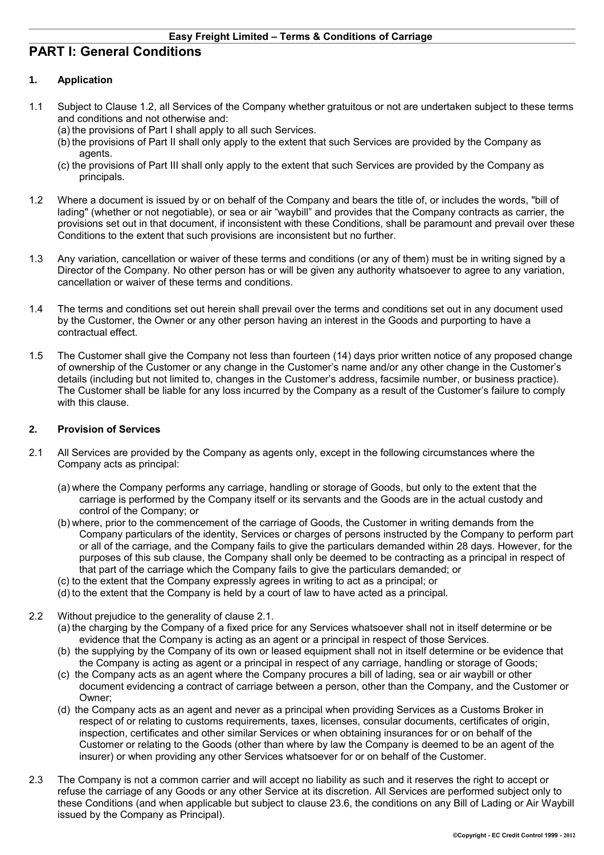# **PART I: General Conditions**

# **1. Application**

- 1.1 Subject to Clause 1.2, all Services of the Company whether gratuitous or not are undertaken subject to these terms and conditions and not otherwise and:
	- (a) the provisions of Part I shall apply to all such Services.
	- (b) the provisions of Part II shall only apply to the extent that such Services are provided by the Company as agents.
	- (c) the provisions of Part III shall only apply to the extent that such Services are provided by the Company as principals.
- 1.2 Where a document is issued by or on behalf of the Company and bears the title of, or includes the words, "bill of lading" (whether or not negotiable), or sea or air "waybill" and provides that the Company contracts as carrier, the provisions set out in that document, if inconsistent with these Conditions, shall be paramount and prevail over these Conditions to the extent that such provisions are inconsistent but no further.
- 1.3 Any variation, cancellation or waiver of these terms and conditions (or any of them) must be in writing signed by a Director of the Company. No other person has or will be given any authority whatsoever to agree to any variation, cancellation or waiver of these terms and conditions.
- 1.4 The terms and conditions set out herein shall prevail over the terms and conditions set out in any document used by the Customer, the Owner or any other person having an interest in the Goods and purporting to have a contractual effect.
- 1.5 The Customer shall give the Company not less than fourteen (14) days prior written notice of any proposed change of ownership of the Customer or any change in the Customer's name and/or any other change in the Customer's details (including but not limited to, changes in the Customer's address, facsimile number, or business practice). The Customer shall be liable for any loss incurred by the Company as a result of the Customer's failure to comply with this clause.

#### **2. Provision of Services**

- 2.1 All Services are provided by the Company as agents only, except in the following circumstances where the Company acts as principal:
	- (a) where the Company performs any carriage, handling or storage of Goods, but only to the extent that the carriage is performed by the Company itself or its servants and the Goods are in the actual custody and control of the Company; or
	- (b) where, prior to the commencement of the carriage of Goods, the Customer in writing demands from the Company particulars of the identity, Services or charges of persons instructed by the Company to perform part or all of the carriage, and the Company fails to give the particulars demanded within 28 days. However, for the purposes of this sub clause, the Company shall only be deemed to be contracting as a principal in respect of that part of the carriage which the Company fails to give the particulars demanded; or
	- (c) to the extent that the Company expressly agrees in writing to act as a principal; or
	- (d) to the extent that the Company is held by a court of law to have acted as a principal.
- 2.2 Without prejudice to the generality of clause 2.1.
	- (a) the charging by the Company of a fixed price for any Services whatsoever shall not in itself determine or be evidence that the Company is acting as an agent or a principal in respect of those Services.
	- (b) the supplying by the Company of its own or leased equipment shall not in itself determine or be evidence that the Company is acting as agent or a principal in respect of any carriage, handling or storage of Goods;
	- (c) the Company acts as an agent where the Company procures a bill of lading, sea or air waybill or other document evidencing a contract of carriage between a person, other than the Company, and the Customer or Owner;
	- (d) the Company acts as an agent and never as a principal when providing Services as a Customs Broker in respect of or relating to customs requirements, taxes, licenses, consular documents, certificates of origin, inspection, certificates and other similar Services or when obtaining insurances for or on behalf of the Customer or relating to the Goods (other than where by law the Company is deemed to be an agent of the insurer) or when providing any other Services whatsoever for or on behalf of the Customer.
- 2.3 The Company is not a common carrier and will accept no liability as such and it reserves the right to accept or refuse the carriage of any Goods or any other Service at its discretion. All Services are performed subject only to these Conditions (and when applicable but subject to clause 23.6, the conditions on any Bill of Lading or Air Waybill issued by the Company as Principal).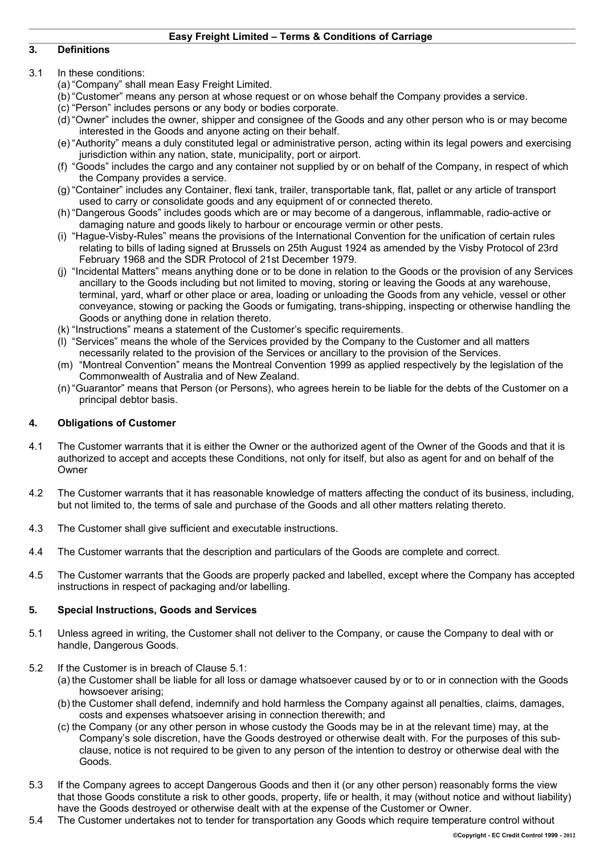## **3. Definitions**

## 3.1 In these conditions:

- (a) "Company" shall mean Easy Freight Limited.
- (b) "Customer" means any person at whose request or on whose behalf the Company provides a service.
- (c) "Person" includes persons or any body or bodies corporate.
- (d) "Owner" includes the owner, shipper and consignee of the Goods and any other person who is or may become interested in the Goods and anyone acting on their behalf.
- (e) "Authority" means a duly constituted legal or administrative person, acting within its legal powers and exercising jurisdiction within any nation, state, municipality, port or airport.
- (f) "Goods" includes the cargo and any container not supplied by or on behalf of the Company, in respect of which the Company provides a service.
- (g) "Container" includes any Container, flexi tank, trailer, transportable tank, flat, pallet or any article of transport used to carry or consolidate goods and any equipment of or connected thereto.
- (h) "Dangerous Goods" includes goods which are or may become of a dangerous, inflammable, radio-active or damaging nature and goods likely to harbour or encourage vermin or other pests.
- (i) "Hague-Visby-Rules" means the provisions of the International Convention for the unification of certain rules relating to bills of lading signed at Brussels on 25th August 1924 as amended by the Visby Protocol of 23rd February 1968 and the SDR Protocol of 21st December 1979.
- (j) "Incidental Matters" means anything done or to be done in relation to the Goods or the provision of any Services ancillary to the Goods including but not limited to moving, storing or leaving the Goods at any warehouse, terminal, yard, wharf or other place or area, loading or unloading the Goods from any vehicle, vessel or other conveyance, stowing or packing the Goods or fumigating, trans-shipping, inspecting or otherwise handling the Goods or anything done in relation thereto.
- (k) "Instructions" means a statement of the Customer's specific requirements.
- (l) "Services" means the whole of the Services provided by the Company to the Customer and all matters necessarily related to the provision of the Services or ancillary to the provision of the Services.
- (m) "Montreal Convention" means the Montreal Convention 1999 as applied respectively by the legislation of the Commonwealth of Australia and of New Zealand.
- (n) "Guarantor" means that Person (or Persons), who agrees herein to be liable for the debts of the Customer on a principal debtor basis.

#### **4. Obligations of Customer**

- 4.1 The Customer warrants that it is either the Owner or the authorized agent of the Owner of the Goods and that it is authorized to accept and accepts these Conditions, not only for itself, but also as agent for and on behalf of the Owner
- 4.2 The Customer warrants that it has reasonable knowledge of matters affecting the conduct of its business, including, but not limited to, the terms of sale and purchase of the Goods and all other matters relating thereto.
- 4.3 The Customer shall give sufficient and executable instructions.
- 4.4 The Customer warrants that the description and particulars of the Goods are complete and correct.
- 4.5 The Customer warrants that the Goods are properly packed and labelled, except where the Company has accepted instructions in respect of packaging and/or labelling.

## **5. Special Instructions, Goods and Services**

- 5.1 Unless agreed in writing, the Customer shall not deliver to the Company, or cause the Company to deal with or handle, Dangerous Goods.
- 5.2 If the Customer is in breach of Clause 5.1:
	- (a) the Customer shall be liable for all loss or damage whatsoever caused by or to or in connection with the Goods howsoever arising;
	- (b) the Customer shall defend, indemnify and hold harmless the Company against all penalties, claims, damages, costs and expenses whatsoever arising in connection therewith; and
	- (c) the Company (or any other person in whose custody the Goods may be in at the relevant time) may, at the Company's sole discretion, have the Goods destroyed or otherwise dealt with. For the purposes of this subclause, notice is not required to be given to any person of the intention to destroy or otherwise deal with the Goods.
- 5.3 If the Company agrees to accept Dangerous Goods and then it (or any other person) reasonably forms the view that those Goods constitute a risk to other goods, property, life or health, it may (without notice and without liability) have the Goods destroyed or otherwise dealt with at the expense of the Customer or Owner.
- 5.4 The Customer undertakes not to tender for transportation any Goods which require temperature control without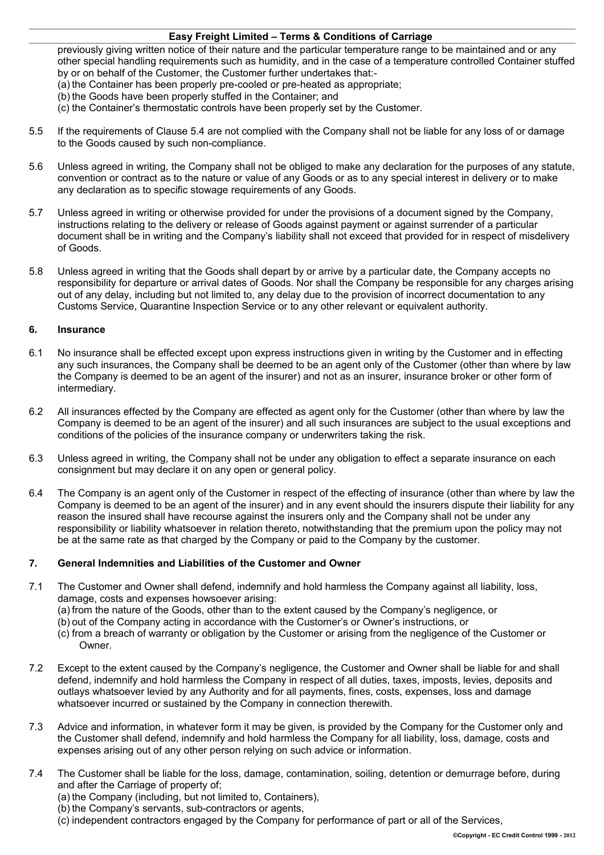previously giving written notice of their nature and the particular temperature range to be maintained and or any other special handling requirements such as humidity, and in the case of a temperature controlled Container stuffed by or on behalf of the Customer, the Customer further undertakes that:-

- (a) the Container has been properly pre-cooled or pre-heated as appropriate;
- (b) the Goods have been properly stuffed in the Container; and
- (c) the Container's thermostatic controls have been properly set by the Customer.
- 5.5 If the requirements of Clause 5.4 are not complied with the Company shall not be liable for any loss of or damage to the Goods caused by such non-compliance.
- 5.6 Unless agreed in writing, the Company shall not be obliged to make any declaration for the purposes of any statute, convention or contract as to the nature or value of any Goods or as to any special interest in delivery or to make any declaration as to specific stowage requirements of any Goods.
- 5.7 Unless agreed in writing or otherwise provided for under the provisions of a document signed by the Company, instructions relating to the delivery or release of Goods against payment or against surrender of a particular document shall be in writing and the Company's liability shall not exceed that provided for in respect of misdelivery of Goods.
- 5.8 Unless agreed in writing that the Goods shall depart by or arrive by a particular date, the Company accepts no responsibility for departure or arrival dates of Goods. Nor shall the Company be responsible for any charges arising out of any delay, including but not limited to, any delay due to the provision of incorrect documentation to any Customs Service, Quarantine Inspection Service or to any other relevant or equivalent authority.

#### **6. Insurance**

- 6.1 No insurance shall be effected except upon express instructions given in writing by the Customer and in effecting any such insurances, the Company shall be deemed to be an agent only of the Customer (other than where by law the Company is deemed to be an agent of the insurer) and not as an insurer, insurance broker or other form of intermediary.
- 6.2 All insurances effected by the Company are effected as agent only for the Customer (other than where by law the Company is deemed to be an agent of the insurer) and all such insurances are subject to the usual exceptions and conditions of the policies of the insurance company or underwriters taking the risk.
- 6.3 Unless agreed in writing, the Company shall not be under any obligation to effect a separate insurance on each consignment but may declare it on any open or general policy.
- 6.4 The Company is an agent only of the Customer in respect of the effecting of insurance (other than where by law the Company is deemed to be an agent of the insurer) and in any event should the insurers dispute their liability for any reason the insured shall have recourse against the insurers only and the Company shall not be under any responsibility or liability whatsoever in relation thereto, notwithstanding that the premium upon the policy may not be at the same rate as that charged by the Company or paid to the Company by the customer.

## **7. General Indemnities and Liabilities of the Customer and Owner**

- 7.1 The Customer and Owner shall defend, indemnify and hold harmless the Company against all liability, loss, damage, costs and expenses howsoever arising: (a) from the nature of the Goods, other than to the extent caused by the Company's negligence, or
	- (b)out of the Company acting in accordance with the Customer's or Owner's instructions, or
	- (c) from a breach of warranty or obligation by the Customer or arising from the negligence of the Customer or Owner.
- 7.2 Except to the extent caused by the Company's negligence, the Customer and Owner shall be liable for and shall defend, indemnify and hold harmless the Company in respect of all duties, taxes, imposts, levies, deposits and outlays whatsoever levied by any Authority and for all payments, fines, costs, expenses, loss and damage whatsoever incurred or sustained by the Company in connection therewith.
- 7.3 Advice and information, in whatever form it may be given, is provided by the Company for the Customer only and the Customer shall defend, indemnify and hold harmless the Company for all liability, loss, damage, costs and expenses arising out of any other person relying on such advice or information.
- 7.4 The Customer shall be liable for the loss, damage, contamination, soiling, detention or demurrage before, during and after the Carriage of property of;
	- (a) the Company (including, but not limited to, Containers),
	- (b) the Company's servants, sub-contractors or agents,
	- (c) independent contractors engaged by the Company for performance of part or all of the Services,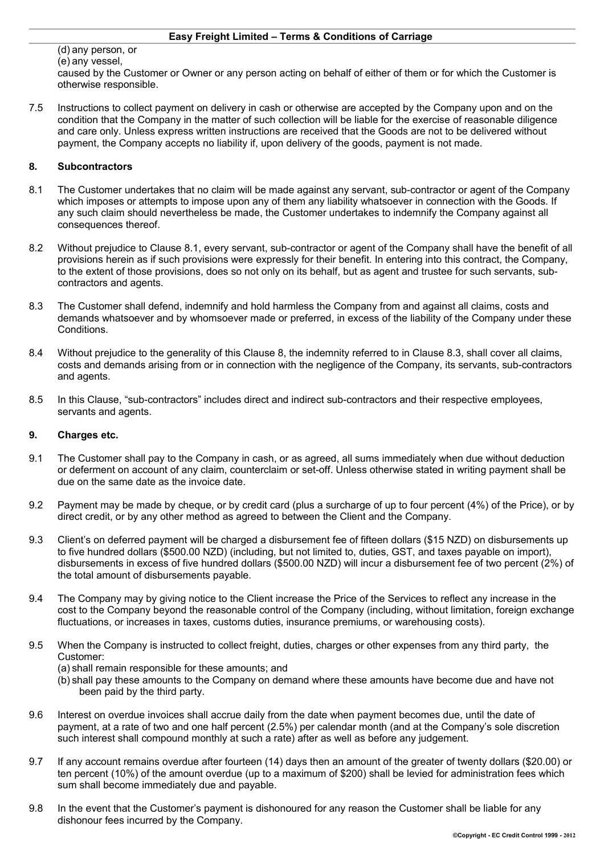(d)any person, or (e)any vessel,

caused by the Customer or Owner or any person acting on behalf of either of them or for which the Customer is otherwise responsible.

7.5 Instructions to collect payment on delivery in cash or otherwise are accepted by the Company upon and on the condition that the Company in the matter of such collection will be liable for the exercise of reasonable diligence and care only. Unless express written instructions are received that the Goods are not to be delivered without payment, the Company accepts no liability if, upon delivery of the goods, payment is not made.

## **8. Subcontractors**

- 8.1 The Customer undertakes that no claim will be made against any servant, sub-contractor or agent of the Company which imposes or attempts to impose upon any of them any liability whatsoever in connection with the Goods. If any such claim should nevertheless be made, the Customer undertakes to indemnify the Company against all consequences thereof.
- 8.2 Without prejudice to Clause 8.1, every servant, sub-contractor or agent of the Company shall have the benefit of all provisions herein as if such provisions were expressly for their benefit. In entering into this contract, the Company, to the extent of those provisions, does so not only on its behalf, but as agent and trustee for such servants, subcontractors and agents.
- 8.3 The Customer shall defend, indemnify and hold harmless the Company from and against all claims, costs and demands whatsoever and by whomsoever made or preferred, in excess of the liability of the Company under these Conditions.
- 8.4 Without prejudice to the generality of this Clause 8, the indemnity referred to in Clause 8.3, shall cover all claims, costs and demands arising from or in connection with the negligence of the Company, its servants, sub-contractors and agents.
- 8.5 In this Clause, "sub-contractors" includes direct and indirect sub-contractors and their respective employees, servants and agents.

## **9. Charges etc.**

- 9.1 The Customer shall pay to the Company in cash, or as agreed, all sums immediately when due without deduction or deferment on account of any claim, counterclaim or set-off. Unless otherwise stated in writing payment shall be due on the same date as the invoice date.
- 9.2 Payment may be made by cheque, or by credit card (plus a surcharge of up to four percent (4%) of the Price), or by direct credit, or by any other method as agreed to between the Client and the Company.
- 9.3 Client's on deferred payment will be charged a disbursement fee of fifteen dollars (\$15 NZD) on disbursements up to five hundred dollars (\$500.00 NZD) (including, but not limited to, duties, GST, and taxes payable on import), disbursements in excess of five hundred dollars (\$500.00 NZD) will incur a disbursement fee of two percent (2%) of the total amount of disbursements payable.
- 9.4 The Company may by giving notice to the Client increase the Price of the Services to reflect any increase in the cost to the Company beyond the reasonable control of the Company (including, without limitation, foreign exchange fluctuations, or increases in taxes, customs duties, insurance premiums, or warehousing costs).
- 9.5 When the Company is instructed to collect freight, duties, charges or other expenses from any third party, the Customer:

(a) shall remain responsible for these amounts; and

- (b) shall pay these amounts to the Company on demand where these amounts have become due and have not been paid by the third party.
- 9.6 Interest on overdue invoices shall accrue daily from the date when payment becomes due, until the date of payment, at a rate of two and one half percent (2.5%) per calendar month (and at the Company's sole discretion such interest shall compound monthly at such a rate) after as well as before any judgement.
- 9.7 If any account remains overdue after fourteen (14) days then an amount of the greater of twenty dollars (\$20.00) or ten percent (10%) of the amount overdue (up to a maximum of \$200) shall be levied for administration fees which sum shall become immediately due and payable.
- 9.8 In the event that the Customer's payment is dishonoured for any reason the Customer shall be liable for any dishonour fees incurred by the Company.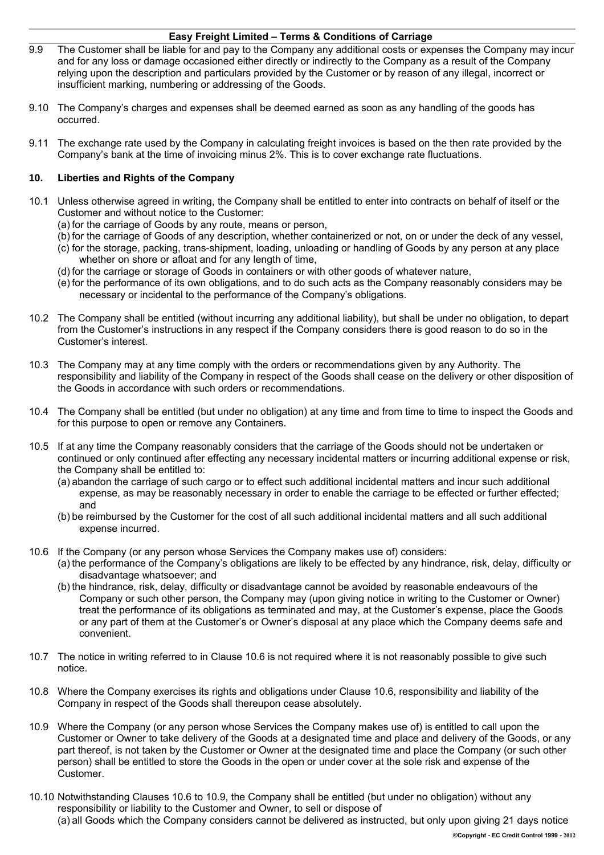- 9.9 The Customer shall be liable for and pay to the Company any additional costs or expenses the Company may incur and for any loss or damage occasioned either directly or indirectly to the Company as a result of the Company relying upon the description and particulars provided by the Customer or by reason of any illegal, incorrect or insufficient marking, numbering or addressing of the Goods.
- 9.10 The Company's charges and expenses shall be deemed earned as soon as any handling of the goods has occurred.
- 9.11 The exchange rate used by the Company in calculating freight invoices is based on the then rate provided by the Company's bank at the time of invoicing minus 2%. This is to cover exchange rate fluctuations.

# **10. Liberties and Rights of the Company**

- 10.1 Unless otherwise agreed in writing, the Company shall be entitled to enter into contracts on behalf of itself or the Customer and without notice to the Customer:
	- (a) for the carriage of Goods by any route, means or person,
	- (b) for the carriage of Goods of any description, whether containerized or not, on or under the deck of any vessel,
	- (c) for the storage, packing, trans-shipment, loading, unloading or handling of Goods by any person at any place whether on shore or afloat and for any length of time,
	- (d) for the carriage or storage of Goods in containers or with other goods of whatever nature,
	- (e) for the performance of its own obligations, and to do such acts as the Company reasonably considers may be necessary or incidental to the performance of the Company's obligations.
- 10.2 The Company shall be entitled (without incurring any additional liability), but shall be under no obligation, to depart from the Customer's instructions in any respect if the Company considers there is good reason to do so in the Customer's interest.
- 10.3 The Company may at any time comply with the orders or recommendations given by any Authority. The responsibility and liability of the Company in respect of the Goods shall cease on the delivery or other disposition of the Goods in accordance with such orders or recommendations.
- 10.4 The Company shall be entitled (but under no obligation) at any time and from time to time to inspect the Goods and for this purpose to open or remove any Containers.
- 10.5 If at any time the Company reasonably considers that the carriage of the Goods should not be undertaken or continued or only continued after effecting any necessary incidental matters or incurring additional expense or risk, the Company shall be entitled to:
	- (a)abandon the carriage of such cargo or to effect such additional incidental matters and incur such additional expense, as may be reasonably necessary in order to enable the carriage to be effected or further effected; and
	- (b)be reimbursed by the Customer for the cost of all such additional incidental matters and all such additional expense incurred.
- 10.6 If the Company (or any person whose Services the Company makes use of) considers:
	- (a) the performance of the Company's obligations are likely to be effected by any hindrance, risk, delay, difficulty or disadvantage whatsoever; and
	- (b) the hindrance, risk, delay, difficulty or disadvantage cannot be avoided by reasonable endeavours of the Company or such other person, the Company may (upon giving notice in writing to the Customer or Owner) treat the performance of its obligations as terminated and may, at the Customer's expense, place the Goods or any part of them at the Customer's or Owner's disposal at any place which the Company deems safe and convenient.
- 10.7 The notice in writing referred to in Clause 10.6 is not required where it is not reasonably possible to give such notice.
- 10.8 Where the Company exercises its rights and obligations under Clause 10.6, responsibility and liability of the Company in respect of the Goods shall thereupon cease absolutely.
- 10.9 Where the Company (or any person whose Services the Company makes use of) is entitled to call upon the Customer or Owner to take delivery of the Goods at a designated time and place and delivery of the Goods, or any part thereof, is not taken by the Customer or Owner at the designated time and place the Company (or such other person) shall be entitled to store the Goods in the open or under cover at the sole risk and expense of the Customer.
- 10.10 Notwithstanding Clauses 10.6 to 10.9, the Company shall be entitled (but under no obligation) without any responsibility or liability to the Customer and Owner, to sell or dispose of (a)all Goods which the Company considers cannot be delivered as instructed, but only upon giving 21 days notice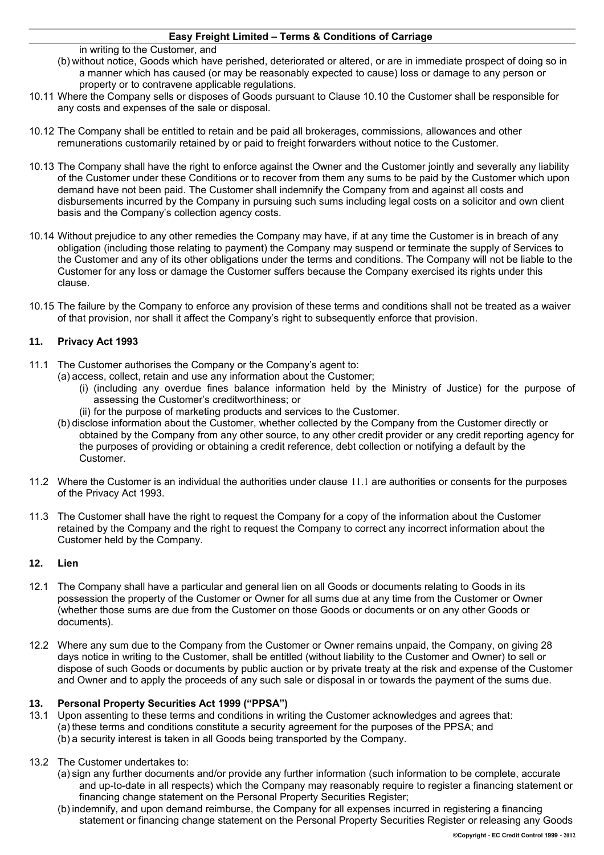- in writing to the Customer, and (b) without notice, Goods which have perished, deteriorated or altered, or are in immediate prospect of doing so in a manner which has caused (or may be reasonably expected to cause) loss or damage to any person or property or to contravene applicable regulations.
- 10.11 Where the Company sells or disposes of Goods pursuant to Clause 10.10 the Customer shall be responsible for any costs and expenses of the sale or disposal.
- 10.12 The Company shall be entitled to retain and be paid all brokerages, commissions, allowances and other remunerations customarily retained by or paid to freight forwarders without notice to the Customer.
- 10.13 The Company shall have the right to enforce against the Owner and the Customer jointly and severally any liability of the Customer under these Conditions or to recover from them any sums to be paid by the Customer which upon demand have not been paid. The Customer shall indemnify the Company from and against all costs and disbursements incurred by the Company in pursuing such sums including legal costs on a solicitor and own client basis and the Company's collection agency costs.
- 10.14 Without prejudice to any other remedies the Company may have, if at any time the Customer is in breach of any obligation (including those relating to payment) the Company may suspend or terminate the supply of Services to the Customer and any of its other obligations under the terms and conditions. The Company will not be liable to the Customer for any loss or damage the Customer suffers because the Company exercised its rights under this clause.
- 10.15 The failure by the Company to enforce any provision of these terms and conditions shall not be treated as a waiver of that provision, nor shall it affect the Company's right to subsequently enforce that provision.

# **11. Privacy Act 1993**

- <span id="page-5-0"></span>11.1 The Customer authorises the Company or the Company's agent to:
	- (a)access, collect, retain and use any information about the Customer;
		- (i) (including any overdue fines balance information held by the Ministry of Justice) for the purpose of assessing the Customer's creditworthiness; or
		- (ii) for the purpose of marketing products and services to the Customer.
	- (b)disclose information about the Customer, whether collected by the Company from the Customer directly or obtained by the Company from any other source, to any other credit provider or any credit reporting agency for the purposes of providing or obtaining a credit reference, debt collection or notifying a default by the Customer.
- 11.2 Where the Customer is an individual the authorities under clause [11.1](#page-5-0) are authorities or consents for the purposes of the Privacy Act 1993.
- 11.3 The Customer shall have the right to request the Company for a copy of the information about the Customer retained by the Company and the right to request the Company to correct any incorrect information about the Customer held by the Company.

## **12. Lien**

- 12.1 The Company shall have a particular and general lien on all Goods or documents relating to Goods in its possession the property of the Customer or Owner for all sums due at any time from the Customer or Owner (whether those sums are due from the Customer on those Goods or documents or on any other Goods or documents).
- 12.2 Where any sum due to the Company from the Customer or Owner remains unpaid, the Company, on giving 28 days notice in writing to the Customer, shall be entitled (without liability to the Customer and Owner) to sell or dispose of such Goods or documents by public auction or by private treaty at the risk and expense of the Customer and Owner and to apply the proceeds of any such sale or disposal in or towards the payment of the sums due.

## **13. Personal Property Securities Act 1999 ("PPSA")**

- 13.1 Upon assenting to these terms and conditions in writing the Customer acknowledges and agrees that: (a) these terms and conditions constitute a security agreement for the purposes of the PPSA; and (b)a security interest is taken in all Goods being transported by the Company.
- 13.2 The Customer undertakes to:
	- (a) sign any further documents and/or provide any further information (such information to be complete, accurate and up-to-date in all respects) which the Company may reasonably require to register a financing statement or financing change statement on the Personal Property Securities Register;
	- (b) indemnify, and upon demand reimburse, the Company for all expenses incurred in registering a financing statement or financing change statement on the Personal Property Securities Register or releasing any Goods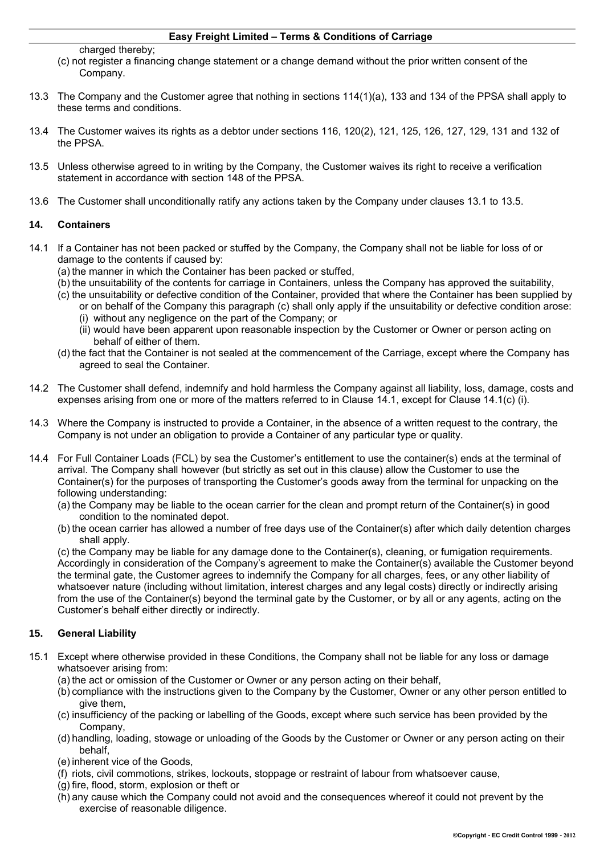charged thereby;

- (c) not register a financing change statement or a change demand without the prior written consent of the Company.
- 13.3 The Company and the Customer agree that nothing in sections 114(1)(a), 133 and 134 of the PPSA shall apply to these terms and conditions.
- 13.4 The Customer waives its rights as a debtor under sections 116, 120(2), 121, 125, 126, 127, 129, 131 and 132 of the PPSA.
- 13.5 Unless otherwise agreed to in writing by the Company, the Customer waives its right to receive a verification statement in accordance with section 148 of the PPSA.
- 13.6 The Customer shall unconditionally ratify any actions taken by the Company under clauses 13.1 to 13.5.

#### **14. Containers**

- 14.1 If a Container has not been packed or stuffed by the Company, the Company shall not be liable for loss of or damage to the contents if caused by:
	- (a) the manner in which the Container has been packed or stuffed,
	- (b) the unsuitability of the contents for carriage in Containers, unless the Company has approved the suitability,
	- (c) the unsuitability or defective condition of the Container, provided that where the Container has been supplied by or on behalf of the Company this paragraph (c) shall only apply if the unsuitability or defective condition arose: (i) without any negligence on the part of the Company; or
		- (ii) would have been apparent upon reasonable inspection by the Customer or Owner or person acting on behalf of either of them.
	- (d) the fact that the Container is not sealed at the commencement of the Carriage, except where the Company has agreed to seal the Container.
- 14.2 The Customer shall defend, indemnify and hold harmless the Company against all liability, loss, damage, costs and expenses arising from one or more of the matters referred to in Clause 14.1, except for Clause 14.1(c) (i).
- 14.3 Where the Company is instructed to provide a Container, in the absence of a written request to the contrary, the Company is not under an obligation to provide a Container of any particular type or quality.
- 14.4 For Full Container Loads (FCL) by sea the Customer's entitlement to use the container(s) ends at the terminal of arrival. The Company shall however (but strictly as set out in this clause) allow the Customer to use the Container(s) for the purposes of transporting the Customer's goods away from the terminal for unpacking on the following understanding:
	- (a) the Company may be liable to the ocean carrier for the clean and prompt return of the Container(s) in good condition to the nominated depot.
	- (b) the ocean carrier has allowed a number of free days use of the Container(s) after which daily detention charges shall apply.

(c) the Company may be liable for any damage done to the Container(s), cleaning, or fumigation requirements. Accordingly in consideration of the Company's agreement to make the Container(s) available the Customer beyond the terminal gate, the Customer agrees to indemnify the Company for all charges, fees, or any other liability of whatsoever nature (including without limitation, interest charges and any legal costs) directly or indirectly arising from the use of the Container(s) beyond the terminal gate by the Customer, or by all or any agents, acting on the Customer's behalf either directly or indirectly.

## **15. General Liability**

- 15.1 Except where otherwise provided in these Conditions, the Company shall not be liable for any loss or damage whatsoever arising from:
	- (a) the act or omission of the Customer or Owner or any person acting on their behalf,
	- (b) compliance with the instructions given to the Company by the Customer, Owner or any other person entitled to give them,
	- (c) insufficiency of the packing or labelling of the Goods, except where such service has been provided by the Company,
	- (d)handling, loading, stowage or unloading of the Goods by the Customer or Owner or any person acting on their behalf,
	- (e) inherent vice of the Goods,
	- (f) riots, civil commotions, strikes, lockouts, stoppage or restraint of labour from whatsoever cause,
	- (g) fire, flood, storm, explosion or theft or
	- (h)any cause which the Company could not avoid and the consequences whereof it could not prevent by the exercise of reasonable diligence.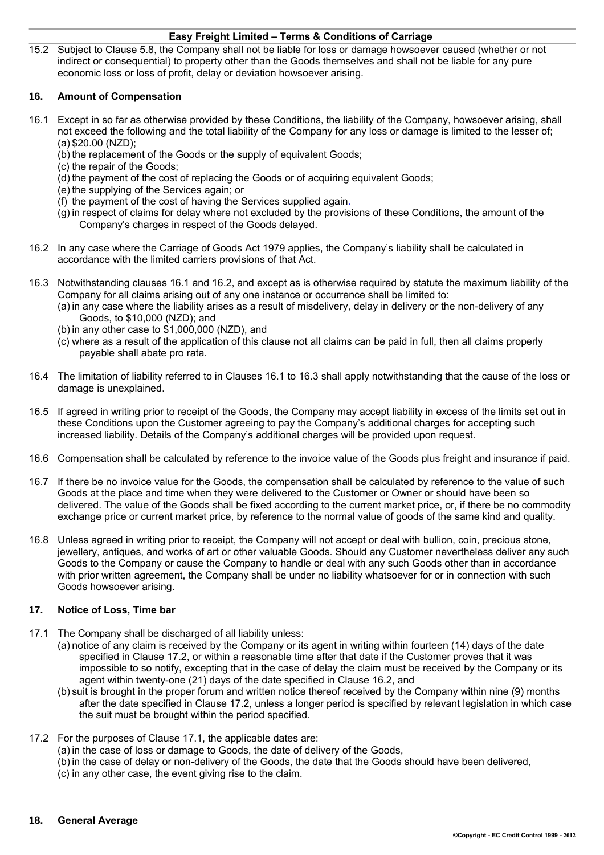15.2 Subject to Clause 5.8, the Company shall not be liable for loss or damage howsoever caused (whether or not indirect or consequential) to property other than the Goods themselves and shall not be liable for any pure economic loss or loss of profit, delay or deviation howsoever arising.

## **16. Amount of Compensation**

- 16.1 Except in so far as otherwise provided by these Conditions, the liability of the Company, howsoever arising, shall not exceed the following and the total liability of the Company for any loss or damage is limited to the lesser of; (a)\$20.00 (NZD);
	- (b) the replacement of the Goods or the supply of equivalent Goods;
	- (c) the repair of the Goods;
	- (d) the payment of the cost of replacing the Goods or of acquiring equivalent Goods;
	- (e) the supplying of the Services again; or
	- (f) the payment of the cost of having the Services supplied again.
	- (g) in respect of claims for delay where not excluded by the provisions of these Conditions, the amount of the Company's charges in respect of the Goods delayed.
- 16.2 In any case where the Carriage of Goods Act 1979 applies, the Company's liability shall be calculated in accordance with the limited carriers provisions of that Act.
- 16.3 Notwithstanding clauses 16.1 and 16.2, and except as is otherwise required by statute the maximum liability of the Company for all claims arising out of any one instance or occurrence shall be limited to:
	- (a) in any case where the liability arises as a result of misdelivery, delay in delivery or the non-delivery of any Goods, to \$10,000 (NZD); and
	- (b) in any other case to \$1,000,000 (NZD), and
	- (c) where as a result of the application of this clause not all claims can be paid in full, then all claims properly payable shall abate pro rata.
- 16.4 The limitation of liability referred to in Clauses 16.1 to 16.3 shall apply notwithstanding that the cause of the loss or damage is unexplained.
- 16.5 If agreed in writing prior to receipt of the Goods, the Company may accept liability in excess of the limits set out in these Conditions upon the Customer agreeing to pay the Company's additional charges for accepting such increased liability. Details of the Company's additional charges will be provided upon request.
- 16.6 Compensation shall be calculated by reference to the invoice value of the Goods plus freight and insurance if paid.
- 16.7 If there be no invoice value for the Goods, the compensation shall be calculated by reference to the value of such Goods at the place and time when they were delivered to the Customer or Owner or should have been so delivered. The value of the Goods shall be fixed according to the current market price, or, if there be no commodity exchange price or current market price, by reference to the normal value of goods of the same kind and quality.
- 16.8 Unless agreed in writing prior to receipt, the Company will not accept or deal with bullion, coin, precious stone, jewellery, antiques, and works of art or other valuable Goods. Should any Customer nevertheless deliver any such Goods to the Company or cause the Company to handle or deal with any such Goods other than in accordance with prior written agreement, the Company shall be under no liability whatsoever for or in connection with such Goods howsoever arising.

## **17. Notice of Loss, Time bar**

- 17.1 The Company shall be discharged of all liability unless:
	- (a)notice of any claim is received by the Company or its agent in writing within fourteen (14) days of the date specified in Clause 17.2, or within a reasonable time after that date if the Customer proves that it was impossible to so notify, excepting that in the case of delay the claim must be received by the Company or its agent within twenty-one (21) days of the date specified in Clause 16.2, and
	- (b) suit is brought in the proper forum and written notice thereof received by the Company within nine (9) months after the date specified in Clause 17.2, unless a longer period is specified by relevant legislation in which case the suit must be brought within the period specified.

## 17.2 For the purposes of Clause 17.1, the applicable dates are:

- (a) in the case of loss or damage to Goods, the date of delivery of the Goods,
- (b) in the case of delay or non-delivery of the Goods, the date that the Goods should have been delivered,
- (c) in any other case, the event giving rise to the claim.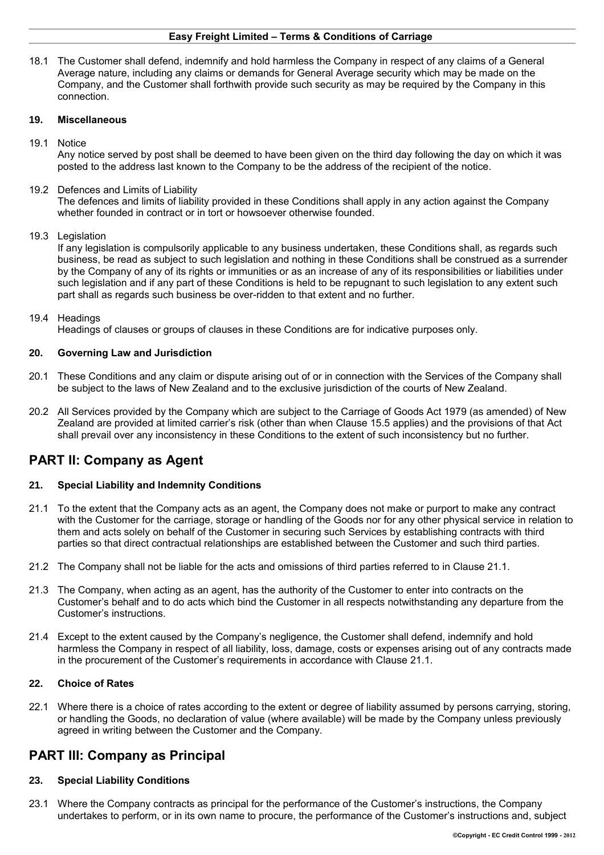18.1 The Customer shall defend, indemnify and hold harmless the Company in respect of any claims of a General Average nature, including any claims or demands for General Average security which may be made on the Company, and the Customer shall forthwith provide such security as may be required by the Company in this connection.

#### **19. Miscellaneous**

19.1 Notice

Any notice served by post shall be deemed to have been given on the third day following the day on which it was posted to the address last known to the Company to be the address of the recipient of the notice.

19.2 Defences and Limits of Liability

The defences and limits of liability provided in these Conditions shall apply in any action against the Company whether founded in contract or in tort or howsoever otherwise founded.

#### 19.3 Legislation

If any legislation is compulsorily applicable to any business undertaken, these Conditions shall, as regards such business, be read as subject to such legislation and nothing in these Conditions shall be construed as a surrender by the Company of any of its rights or immunities or as an increase of any of its responsibilities or liabilities under such legislation and if any part of these Conditions is held to be repugnant to such legislation to any extent such part shall as regards such business be over-ridden to that extent and no further.

#### 19.4 Headings

Headings of clauses or groups of clauses in these Conditions are for indicative purposes only.

#### **20. Governing Law and Jurisdiction**

- 20.1 These Conditions and any claim or dispute arising out of or in connection with the Services of the Company shall be subject to the laws of New Zealand and to the exclusive jurisdiction of the courts of New Zealand.
- 20.2 All Services provided by the Company which are subject to the Carriage of Goods Act 1979 (as amended) of New Zealand are provided at limited carrier's risk (other than when Clause 15.5 applies) and the provisions of that Act shall prevail over any inconsistency in these Conditions to the extent of such inconsistency but no further.

# **PART II: Company as Agent**

## **21. Special Liability and Indemnity Conditions**

- 21.1 To the extent that the Company acts as an agent, the Company does not make or purport to make any contract with the Customer for the carriage, storage or handling of the Goods nor for any other physical service in relation to them and acts solely on behalf of the Customer in securing such Services by establishing contracts with third parties so that direct contractual relationships are established between the Customer and such third parties.
- 21.2 The Company shall not be liable for the acts and omissions of third parties referred to in Clause 21.1.
- 21.3 The Company, when acting as an agent, has the authority of the Customer to enter into contracts on the Customer's behalf and to do acts which bind the Customer in all respects notwithstanding any departure from the Customer's instructions.
- 21.4 Except to the extent caused by the Company's negligence, the Customer shall defend, indemnify and hold harmless the Company in respect of all liability, loss, damage, costs or expenses arising out of any contracts made in the procurement of the Customer's requirements in accordance with Clause 21.1.

#### **22. Choice of Rates**

22.1 Where there is a choice of rates according to the extent or degree of liability assumed by persons carrying, storing, or handling the Goods, no declaration of value (where available) will be made by the Company unless previously agreed in writing between the Customer and the Company.

# **PART III: Company as Principal**

## **23. Special Liability Conditions**

23.1 Where the Company contracts as principal for the performance of the Customer's instructions, the Company undertakes to perform, or in its own name to procure, the performance of the Customer's instructions and, subject